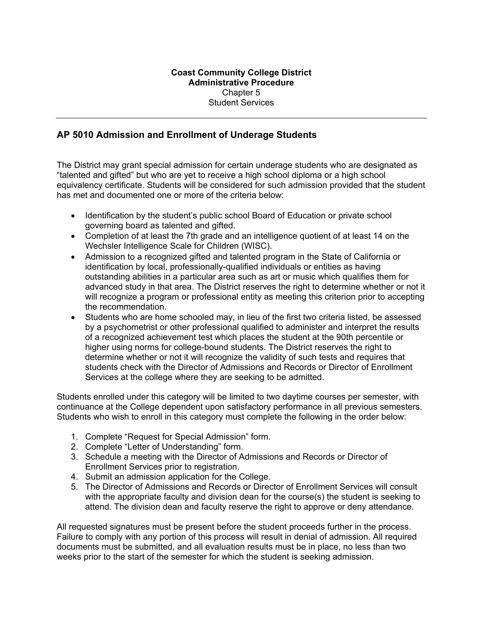## **Coast Community College District Administrative Procedure**  Chapter 5 Student Services

# **AP 5010 Admission and Enrollment of Underage Students**

The District may grant special admission for certain underage students who are designated as "talented and gifted" but who are yet to receive a high school diploma or a high school equivalency certificate. Students will be considered for such admission provided that the student has met and documented one or more of the criteria below:

- Identification by the student's public school Board of Education or private school governing board as talented and gifted.
- Completion of at least the 7th grade and an intelligence quotient of at least 14 on the Wechsler Intelligence Scale for Children (WISC).
- Admission to a recognized gifted and talented program in the State of California or identification by local, professionally-qualified individuals or entities as having outstanding abilities in a particular area such as art or music which qualifies them for advanced study in that area. The District reserves the right to determine whether or not it will recognize a program or professional entity as meeting this criterion prior to accepting the recommendation.
- Students who are home schooled may, in lieu of the first two criteria listed, be assessed by a psychometrist or other professional qualified to administer and interpret the results of a recognized achievement test which places the student at the 90th percentile or higher using norms for college-bound students. The District reserves the right to determine whether or not it will recognize the validity of such tests and requires that students check with the Director of Admissions and Records or Director of Enrollment Services at the college where they are seeking to be admitted.

Students enrolled under this category will be limited to two daytime courses per semester, with continuance at the College dependent upon satisfactory performance in all previous semesters. Students who wish to enroll in this category must complete the following in the order below:

- 1. Complete "Request for Special Admission" form.
- 2. Complete "Letter of Understanding" form.
- 3. Schedule a meeting with the Director of Admissions and Records or Director of Enrollment Services prior to registration.
- 4. Submit an admission application for the College.
- 5. The Director of Admissions and Records or Director of Enrollment Services will consult with the appropriate faculty and division dean for the course(s) the student is seeking to attend. The division dean and faculty reserve the right to approve or deny attendance.

All requested signatures must be present before the student proceeds further in the process. Failure to comply with any portion of this process will result in denial of admission. All required documents must be submitted, and all evaluation results must be in place, no less than two weeks prior to the start of the semester for which the student is seeking admission.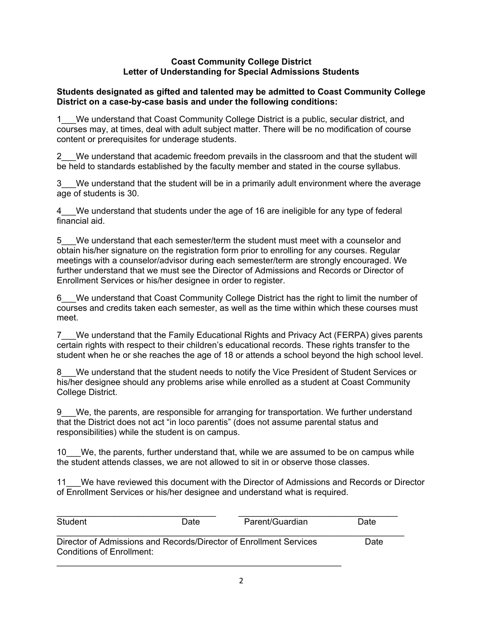### **Coast Community College District Letter of Understanding for Special Admissions Students**

## **Students designated as gifted and talented may be admitted to Coast Community College District on a case-by-case basis and under the following conditions:**

1\_\_\_We understand that Coast Community College District is a public, secular district, and courses may, at times, deal with adult subject matter. There will be no modification of course content or prerequisites for underage students.

2\_\_\_We understand that academic freedom prevails in the classroom and that the student will be held to standards established by the faculty member and stated in the course syllabus.

3\_\_\_We understand that the student will be in a primarily adult environment where the average age of students is 30.

We understand that students under the age of 16 are ineligible for any type of federal financial aid.

5\_\_\_We understand that each semester/term the student must meet with a counselor and obtain his/her signature on the registration form prior to enrolling for any courses. Regular meetings with a counselor/advisor during each semester/term are strongly encouraged. We further understand that we must see the Director of Admissions and Records or Director of Enrollment Services or his/her designee in order to register.

6\_\_\_We understand that Coast Community College District has the right to limit the number of courses and credits taken each semester, as well as the time within which these courses must meet.

7\_\_\_We understand that the Family Educational Rights and Privacy Act (FERPA) gives parents certain rights with respect to their children's educational records. These rights transfer to the student when he or she reaches the age of 18 or attends a school beyond the high school level.

8 We understand that the student needs to notify the Vice President of Student Services or his/her designee should any problems arise while enrolled as a student at Coast Community College District.

9\_\_\_We, the parents, are responsible for arranging for transportation. We further understand that the District does not act "in loco parentis" (does not assume parental status and responsibilities) while the student is on campus.

10\_\_\_We, the parents, further understand that, while we are assumed to be on campus while the student attends classes, we are not allowed to sit in or observe those classes.

11\_\_\_We have reviewed this document with the Director of Admissions and Records or Director of Enrollment Services or his/her designee and understand what is required.

| Student                                                                                         | Date | Parent/Guardian | Date |
|-------------------------------------------------------------------------------------------------|------|-----------------|------|
| Director of Admissions and Records/Director of Enrollment Services<br>Conditions of Enrollment: | Date |                 |      |